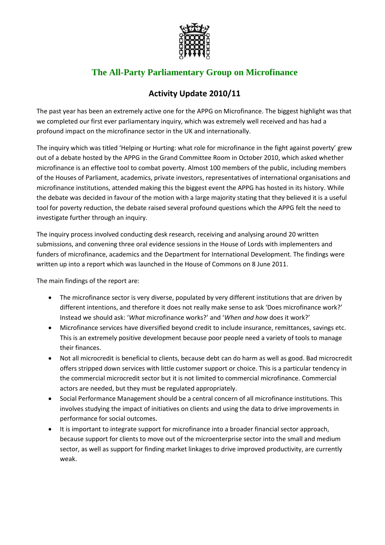

## **The All-Party Parliamentary Group on Microfinance**

## **Activity Update 2010/11**

The past year has been an extremely active one for the APPG on Microfinance. The biggest highlight was that we completed our first ever parliamentary inquiry, which was extremely well received and has had a profound impact on the microfinance sector in the UK and internationally.

The inquiry which was titled 'Helping or Hurting: what role for microfinance in the fight against poverty' grew out of a debate hosted by the APPG in the Grand Committee Room in October 2010, which asked whether microfinance is an effective tool to combat poverty. Almost 100 members of the public, including members of the Houses of Parliament, academics, private investors, representatives of international organisations and microfinance institutions, attended making this the biggest event the APPG has hosted in its history. While the debate was decided in favour of the motion with a large majority stating that they believed it is a useful tool for poverty reduction, the debate raised several profound questions which the APPG felt the need to investigate further through an inquiry.

The inquiry process involved conducting desk research, receiving and analysing around 20 written submissions, and convening three oral evidence sessions in the House of Lords with implementers and funders of microfinance, academics and the Department for International Development. The findings were written up into a report which was launched in the House of Commons on 8 June 2011.

The main findings of the report are:

- The microfinance sector is very diverse, populated by very different institutions that are driven by different intentions, and therefore it does not really make sense to ask 'Does microfinance work?' Instead we should ask: '*What* microfinance works?' and '*When and how* does it work?'
- Microfinance services have diversified beyond credit to include insurance, remittances, savings etc. This is an extremely positive development because poor people need a variety of tools to manage their finances.
- Not all microcredit is beneficial to clients, because debt can do harm as well as good. Bad microcredit offers stripped down services with little customer support or choice. This is a particular tendency in the commercial microcredit sector but it is not limited to commercial microfinance. Commercial actors are needed, but they must be regulated appropriately.
- Social Performance Management should be a central concern of all microfinance institutions. This involves studying the impact of initiatives on clients and using the data to drive improvements in performance for social outcomes.
- It is important to integrate support for microfinance into a broader financial sector approach, because support for clients to move out of the microenterprise sector into the small and medium sector, as well as support for finding market linkages to drive improved productivity, are currently weak.